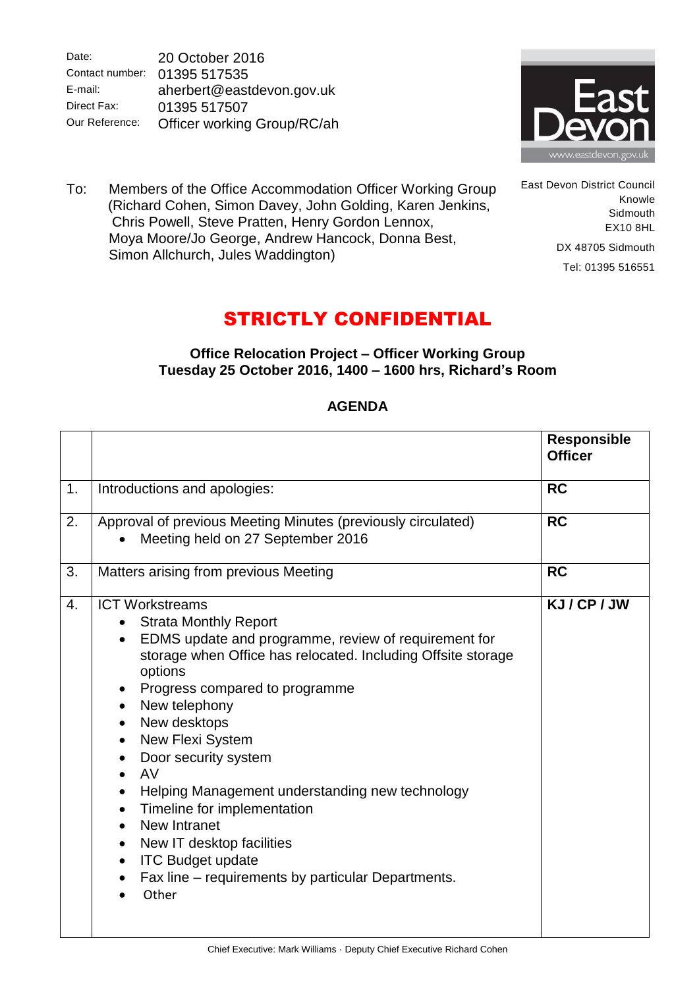Date: Contact number: 01395 517535 E-mail: Direct Fax: Our Reference: 20 October 2016 aherbert@eastdevon.gov.uk 01395 517507 Officer working Group/RC/ah



East Devon District Council

DX 48705 Sidmouth Tel: 01395 516551

Knowle **Sidmouth** EX10 8HL

To: Members of the Office Accommodation Officer Working Group (Richard Cohen, Simon Davey, John Golding, Karen Jenkins, Chris Powell, Steve Pratten, Henry Gordon Lennox, Moya Moore/Jo George, Andrew Hancock, Donna Best, Simon Allchurch, Jules Waddington)

## STRICTLY CONFIDENTIAL

## **Office Relocation Project – Officer Working Group Tuesday 25 October 2016, 1400 – 1600 hrs, Richard's Room**

|                |                                                                                                                                                                                                                                                                                                                                                                                                                                                                                                                                                                                                                        | <b>Responsible</b><br><b>Officer</b> |
|----------------|------------------------------------------------------------------------------------------------------------------------------------------------------------------------------------------------------------------------------------------------------------------------------------------------------------------------------------------------------------------------------------------------------------------------------------------------------------------------------------------------------------------------------------------------------------------------------------------------------------------------|--------------------------------------|
| 1.             | Introductions and apologies:                                                                                                                                                                                                                                                                                                                                                                                                                                                                                                                                                                                           | <b>RC</b>                            |
| 2.             | Approval of previous Meeting Minutes (previously circulated)<br>Meeting held on 27 September 2016                                                                                                                                                                                                                                                                                                                                                                                                                                                                                                                      | <b>RC</b>                            |
| 3.             | Matters arising from previous Meeting                                                                                                                                                                                                                                                                                                                                                                                                                                                                                                                                                                                  | <b>RC</b>                            |
| $\mathbf{4}$ . | <b>ICT Workstreams</b><br><b>Strata Monthly Report</b><br>EDMS update and programme, review of requirement for<br>$\bullet$<br>storage when Office has relocated. Including Offsite storage<br>options<br>Progress compared to programme<br>$\bullet$<br>New telephony<br>$\bullet$<br>New desktops<br>New Flexi System<br>Door security system<br>AV<br>Helping Management understanding new technology<br>Timeline for implementation<br>$\bullet$<br>New Intranet<br>New IT desktop facilities<br>$\bullet$<br><b>ITC Budget update</b><br>$\bullet$<br>Fax line – requirements by particular Departments.<br>Other | KJ/CP/JW                             |

## **AGENDA**